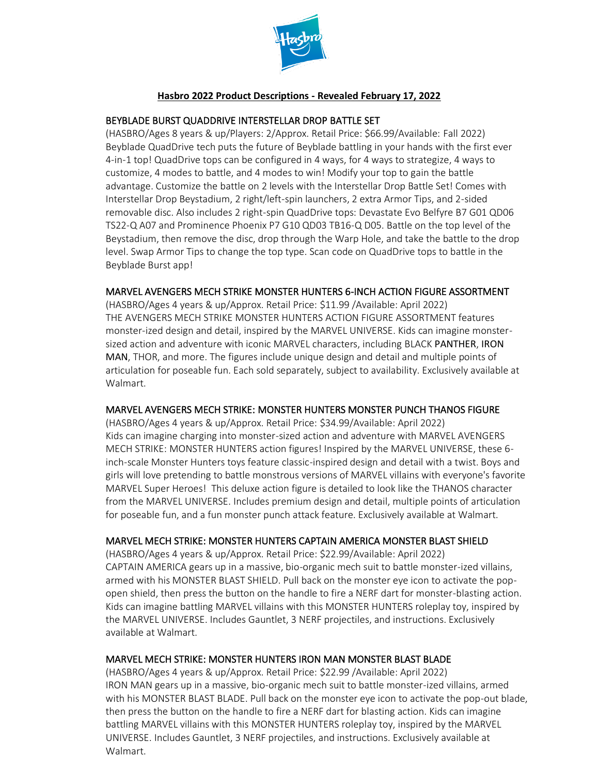

#### **Hasbro 2022 Product Descriptions - Revealed February 17, 2022**

#### BEYBLADE BURST QUADDRIVE INTERSTELLAR DROP BATTLE SET

(HASBRO/Ages 8 years & up/Players: 2/Approx. Retail Price: \$66.99/Available: Fall 2022) Beyblade QuadDrive tech puts the future of Beyblade battling in your hands with the first ever 4-in-1 top! QuadDrive tops can be configured in 4 ways, for 4 ways to strategize, 4 ways to customize, 4 modes to battle, and 4 modes to win! Modify your top to gain the battle advantage. Customize the battle on 2 levels with the Interstellar Drop Battle Set! Comes with Interstellar Drop Beystadium, 2 right/left-spin launchers, 2 extra Armor Tips, and 2-sided removable disc. Also includes 2 right-spin QuadDrive tops: Devastate Evo Belfyre B7 G01 QD06 TS22-Q A07 and Prominence Phoenix P7 G10 QD03 TB16-Q D05. Battle on the top level of the Beystadium, then remove the disc, drop through the Warp Hole, and take the battle to the drop level. Swap Armor Tips to change the top type. Scan code on QuadDrive tops to battle in the Beyblade Burst app!

#### MARVELAVENGERS MECH STRIKE MONSTER HUNTERS 6-INCH ACTION FIGURE ASSORTMENT

(HASBRO/Ages 4 years & up/Approx. Retail Price: \$11.99 /Available: April 2022) THE AVENGERS MECH STRIKE MONSTER HUNTERS ACTION FIGURE ASSORTMENT features monster-ized design and detail, inspired by the MARVEL UNIVERSE. Kids can imagine monstersized action and adventure with iconic MARVEL characters, including BLACK PANTHER, IRON MAN, THOR, and more. The figures include unique design and detail and multiple points of articulation for poseable fun. Each sold separately, subject to availability. Exclusively available at Walmart.

#### MARVELAVENGERS MECH STRIKE: MONSTER HUNTERS MONSTER PUNCH THANOS FIGURE

(HASBRO/Ages 4 years & up/Approx. Retail Price: \$34.99/Available: April 2022) Kids can imagine charging into monster-sized action and adventure with MARVEL AVENGERS MECH STRIKE: MONSTER HUNTERS action figures! Inspired by the MARVEL UNIVERSE, these 6 inch-scale Monster Hunters toys feature classic-inspired design and detail with a twist. Boys and girls will love pretending to battle monstrous versions of MARVEL villains with everyone's favorite MARVEL Super Heroes! This deluxe action figure is detailed to look like the THANOS character from the MARVEL UNIVERSE. Includes premium design and detail, multiple points of articulation for poseable fun, and a fun monster punch attack feature. Exclusively available at Walmart.

# MARVEL MECH STRIKE: MONSTER HUNTERS CAPTAIN AMERICA MONSTER BLAST SHIELD

(HASBRO/Ages 4 years & up/Approx. Retail Price: \$22.99/Available: April 2022) CAPTAIN AMERICA gears up in a massive, bio-organic mech suit to battle monster-ized villains, armed with his MONSTER BLAST SHIELD. Pull back on the monster eye icon to activate the popopen shield, then press the button on the handle to fire a NERF dart for monster-blasting action. Kids can imagine battling MARVEL villains with this MONSTER HUNTERS roleplay toy, inspired by the MARVEL UNIVERSE. Includes Gauntlet, 3 NERF projectiles, and instructions. Exclusively available at Walmart.

#### MARVEL MECH STRIKE: MONSTER HUNTERS IRON MAN MONSTER BLAST BLADE

(HASBRO/Ages 4 years & up/Approx. Retail Price: \$22.99 /Available: April 2022) IRON MAN gears up in a massive, bio-organic mech suit to battle monster-ized villains, armed with his MONSTER BLAST BLADE. Pull back on the monster eye icon to activate the pop-out blade, then press the button on the handle to fire a NERF dart for blasting action. Kids can imagine battling MARVEL villains with this MONSTER HUNTERS roleplay toy, inspired by the MARVEL UNIVERSE. Includes Gauntlet, 3 NERF projectiles, and instructions. Exclusively available at Walmart.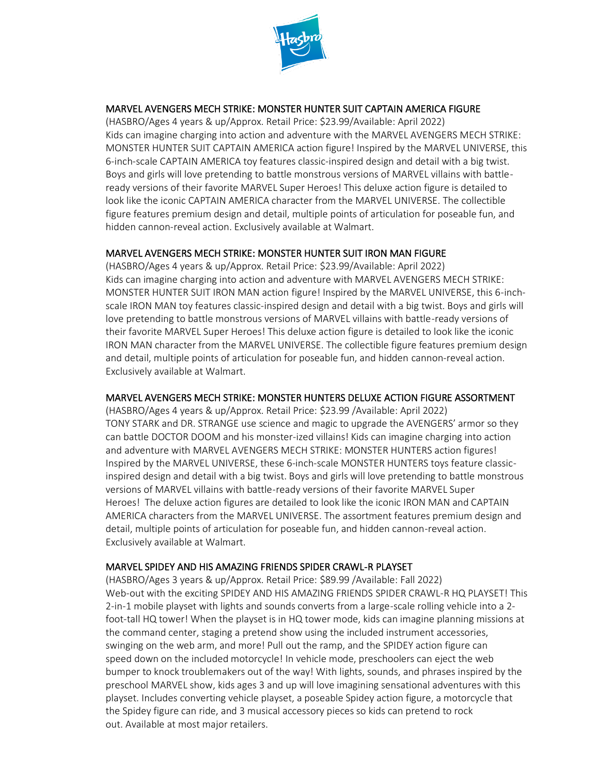

# MARVEL AVENGERS MECH STRIKE: MONSTER HUNTER SUIT CAPTAIN AMERICA FIGURE

(HASBRO/Ages 4 years & up/Approx. Retail Price: \$23.99/Available: April 2022) Kids can imagine charging into action and adventure with the MARVEL AVENGERS MECH STRIKE: MONSTER HUNTER SUIT CAPTAIN AMERICA action figure! Inspired by the MARVEL UNIVERSE, this 6-inch-scale CAPTAIN AMERICA toy features classic-inspired design and detail with a big twist. Boys and girls will love pretending to battle monstrous versions of MARVEL villains with battleready versions of their favorite MARVEL Super Heroes! This deluxe action figure is detailed to look like the iconic CAPTAIN AMERICA character from the MARVEL UNIVERSE. The collectible figure features premium design and detail, multiple points of articulation for poseable fun, and hidden cannon-reveal action. Exclusively available at Walmart.

# MARVEL AVENGERS MECH STRIKE: MONSTER HUNTER SUIT IRON MAN FIGURE

(HASBRO/Ages 4 years & up/Approx. Retail Price: \$23.99/Available: April 2022) Kids can imagine charging into action and adventure with MARVEL AVENGERS MECH STRIKE: MONSTER HUNTER SUIT IRON MAN action figure! Inspired by the MARVEL UNIVERSE, this 6-inchscale IRON MAN toy features classic-inspired design and detail with a big twist. Boys and girls will love pretending to battle monstrous versions of MARVEL villains with battle-ready versions of their favorite MARVEL Super Heroes! This deluxe action figure is detailed to look like the iconic IRON MAN character from the MARVEL UNIVERSE. The collectible figure features premium design and detail, multiple points of articulation for poseable fun, and hidden cannon-reveal action. Exclusively available at Walmart.

# MARVEL AVENGERS MECH STRIKE: MONSTER HUNTERS DELUXE ACTION FIGURE ASSORTMENT

(HASBRO/Ages 4 years & up/Approx. Retail Price: \$23.99 /Available: April 2022) TONY STARK and DR. STRANGE use science and magic to upgrade the AVENGERS' armor so they can battle DOCTOR DOOM and his monster-ized villains! Kids can imagine charging into action and adventure with MARVEL AVENGERS MECH STRIKE: MONSTER HUNTERS action figures! Inspired by the MARVEL UNIVERSE, these 6-inch-scale MONSTER HUNTERS toys feature classicinspired design and detail with a big twist. Boys and girls will love pretending to battle monstrous versions of MARVEL villains with battle-ready versions of their favorite MARVEL Super Heroes! The deluxe action figures are detailed to look like the iconic IRON MAN and CAPTAIN AMERICA characters from the MARVEL UNIVERSE. The assortment features premium design and detail, multiple points of articulation for poseable fun, and hidden cannon-reveal action. Exclusively available at Walmart.

# MARVELSPIDEY AND HIS AMAZING FRIENDS SPIDER CRAWL-R PLAYSET

(HASBRO/Ages 3 years & up/Approx. Retail Price: \$89.99 /Available: Fall 2022) Web-out with the exciting SPIDEY AND HIS AMAZING FRIENDS SPIDER CRAWL-R HQ PLAYSET! This 2-in-1 mobile playset with lights and sounds converts from a large-scale rolling vehicle into a 2 foot-tall HQ tower! When the playset is in HQ tower mode, kids can imagine planning missions at the command center, staging a pretend show using the included instrument accessories, swinging on the web arm, and more! Pull out the ramp, and the SPIDEY action figure can speed down on the included motorcycle! In vehicle mode, preschoolers can eject the web bumper to knock troublemakers out of the way! With lights, sounds, and phrases inspired by the preschool MARVEL show, kids ages 3 and up will love imagining sensational adventures with this playset. Includes converting vehicle playset, a poseable Spidey action figure, a motorcycle that the Spidey figure can ride, and 3 musical accessory pieces so kids can pretend to rock out. Available at most major retailers.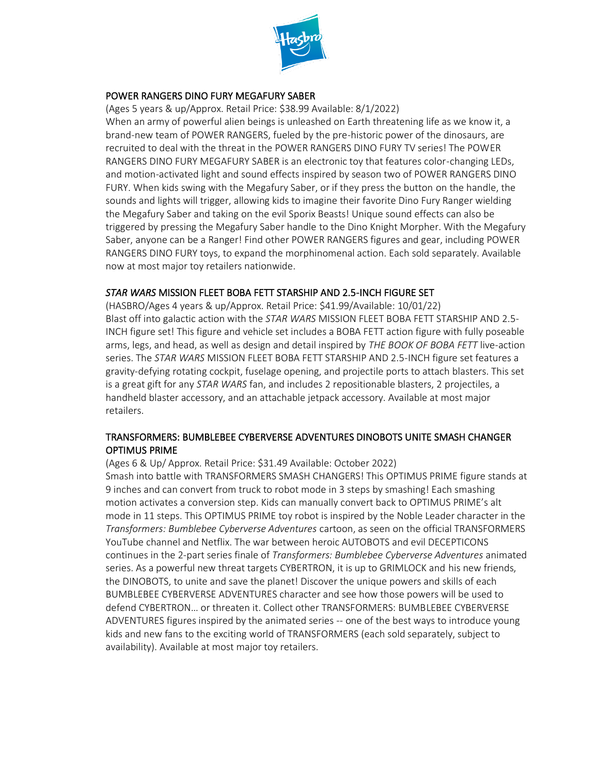

#### POWER RANGERS DINO FURY MEGAFURY SABER

(Ages 5 years & up/Approx. Retail Price: \$38.99 Available: 8/1/2022)

When an army of powerful alien beings is unleashed on Earth threatening life as we know it, a brand-new team of POWER RANGERS, fueled by the pre-historic power of the dinosaurs, are recruited to deal with the threat in the POWER RANGERS DINO FURY TV series! The POWER RANGERS DINO FURY MEGAFURY SABER is an electronic toy that features color-changing LEDs, and motion-activated light and sound effects inspired by season two of POWER RANGERS DINO FURY. When kids swing with the Megafury Saber, or if they press the button on the handle, the sounds and lights will trigger, allowing kids to imagine their favorite Dino Fury Ranger wielding the Megafury Saber and taking on the evil Sporix Beasts! Unique sound effects can also be triggered by pressing the Megafury Saber handle to the Dino Knight Morpher. With the Megafury Saber, anyone can be a Ranger! Find other POWER RANGERS figures and gear, including POWER RANGERS DINO FURY toys, to expand the morphinomenal action. Each sold separately. Available now at most major toy retailers nationwide.

#### *STAR WARS* MISSION FLEET BOBA FETT STARSHIP AND 2.5-INCH FIGURE SET

(HASBRO/Ages 4 years & up/Approx. Retail Price: \$41.99/Available: 10/01/22) Blast off into galactic action with the *STAR WARS* MISSION FLEET BOBA FETT STARSHIP AND 2.5- INCH figure set! This figure and vehicle set includes a BOBA FETT action figure with fully poseable arms, legs, and head, as well as design and detail inspired by *THE BOOK OF BOBA FETT* live-action series. The *STAR WARS* MISSION FLEET BOBA FETT STARSHIP AND 2.5-INCH figure set features a gravity-defying rotating cockpit, fuselage opening, and projectile ports to attach blasters. This set is a great gift for any *STAR WARS* fan, and includes 2 repositionable blasters, 2 projectiles, a handheld blaster accessory, and an attachable jetpack accessory. Available at most major retailers.

#### TRANSFORMERS: BUMBLEBEE CYBERVERSE ADVENTURES DINOBOTS UNITE SMASH CHANGER OPTIMUS PRIME

(Ages 6 & Up/ Approx. Retail Price: \$31.49 Available: October 2022)

Smash into battle with TRANSFORMERS SMASH CHANGERS! This OPTIMUS PRIME figure stands at 9 inches and can convert from truck to robot mode in 3 steps by smashing! Each smashing motion activates a conversion step. Kids can manually convert back to OPTIMUS PRIME's alt mode in 11 steps. This OPTIMUS PRIME toy robot is inspired by the Noble Leader character in the *Transformers: Bumblebee Cyberverse Adventures* cartoon, as seen on the official TRANSFORMERS YouTube channel and Netflix. The war between heroic AUTOBOTS and evil DECEPTICONS continues in the 2-part series finale of *Transformers: Bumblebee Cyberverse Adventures* animated series. As a powerful new threat targets CYBERTRON, it is up to GRIMLOCK and his new friends, the DINOBOTS, to unite and save the planet! Discover the unique powers and skills of each BUMBLEBEE CYBERVERSE ADVENTURES character and see how those powers will be used to defend CYBERTRON… or threaten it. Collect other TRANSFORMERS: BUMBLEBEE CYBERVERSE ADVENTURES figures inspired by the animated series -- one of the best ways to introduce young kids and new fans to the exciting world of TRANSFORMERS (each sold separately, subject to availability). Available at most major toy retailers.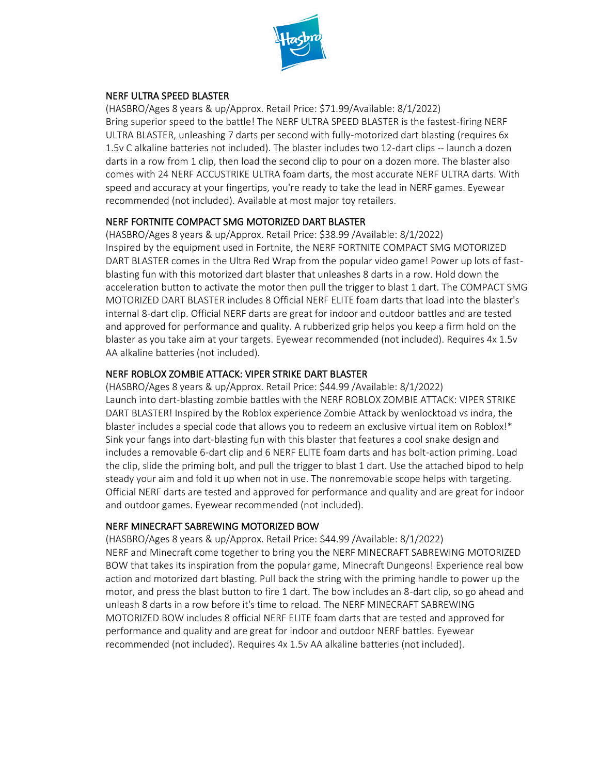

# NERF ULTRA SPEED BLASTER

(HASBRO/Ages 8 years & up/Approx. Retail Price: \$71.99/Available: 8/1/2022) Bring superior speed to the battle! The NERF ULTRA SPEED BLASTER is the fastest-firing NERF ULTRA BLASTER, unleashing 7 darts per second with fully-motorized dart blasting (requires 6x 1.5v C alkaline batteries not included). The blaster includes two 12-dart clips -- launch a dozen darts in a row from 1 clip, then load the second clip to pour on a dozen more. The blaster also comes with 24 NERF ACCUSTRIKE ULTRA foam darts, the most accurate NERF ULTRA darts. With speed and accuracy at your fingertips, you're ready to take the lead in NERF games. Eyewear recommended (not included). Available at most major toy retailers.

#### NERF FORTNITE COMPACT SMG MOTORIZED DART BLASTER

(HASBRO/Ages 8 years & up/Approx. Retail Price: \$38.99 /Available: 8/1/2022) Inspired by the equipment used in Fortnite, the NERF FORTNITE COMPACT SMG MOTORIZED DART BLASTER comes in the Ultra Red Wrap from the popular video game! Power up lots of fastblasting fun with this motorized dart blaster that unleashes 8 darts in a row. Hold down the acceleration button to activate the motor then pull the trigger to blast 1 dart. The COMPACT SMG MOTORIZED DART BLASTER includes 8 Official NERF ELITE foam darts that load into the blaster's internal 8-dart clip. Official NERF darts are great for indoor and outdoor battles and are tested and approved for performance and quality. A rubberized grip helps you keep a firm hold on the blaster as you take aim at your targets. Eyewear recommended (not included). Requires 4x 1.5v AA alkaline batteries (not included).

# NERF ROBLOX ZOMBIE ATTACK: VIPER STRIKE DART BLASTER

(HASBRO/Ages 8 years & up/Approx. Retail Price: \$44.99 /Available: 8/1/2022) Launch into dart-blasting zombie battles with the NERF ROBLOX ZOMBIE ATTACK: VIPER STRIKE DART BLASTER! Inspired by the Roblox experience Zombie Attack by wenlocktoad vs indra, the blaster includes a special code that allows you to redeem an exclusive virtual item on Roblox!\* Sink your fangs into dart-blasting fun with this blaster that features a cool snake design and includes a removable 6-dart clip and 6 NERF ELITE foam darts and has bolt-action priming. Load the clip, slide the priming bolt, and pull the trigger to blast 1 dart. Use the attached bipod to help steady your aim and fold it up when not in use. The nonremovable scope helps with targeting. Official NERF darts are tested and approved for performance and quality and are great for indoor and outdoor games. Eyewear recommended (not included).

#### NERF MINECRAFT SABREWING MOTORIZED BOW

(HASBRO/Ages 8 years & up/Approx. Retail Price: \$44.99 /Available: 8/1/2022) NERF and Minecraft come together to bring you the NERF MINECRAFT SABREWING MOTORIZED BOW that takes its inspiration from the popular game, Minecraft Dungeons! Experience real bow action and motorized dart blasting. Pull back the string with the priming handle to power up the motor, and press the blast button to fire 1 dart. The bow includes an 8-dart clip, so go ahead and unleash 8 darts in a row before it's time to reload. The NERF MINECRAFT SABREWING MOTORIZED BOW includes 8 official NERF ELITE foam darts that are tested and approved for performance and quality and are great for indoor and outdoor NERF battles. Eyewear recommended (not included). Requires 4x 1.5v AA alkaline batteries (not included).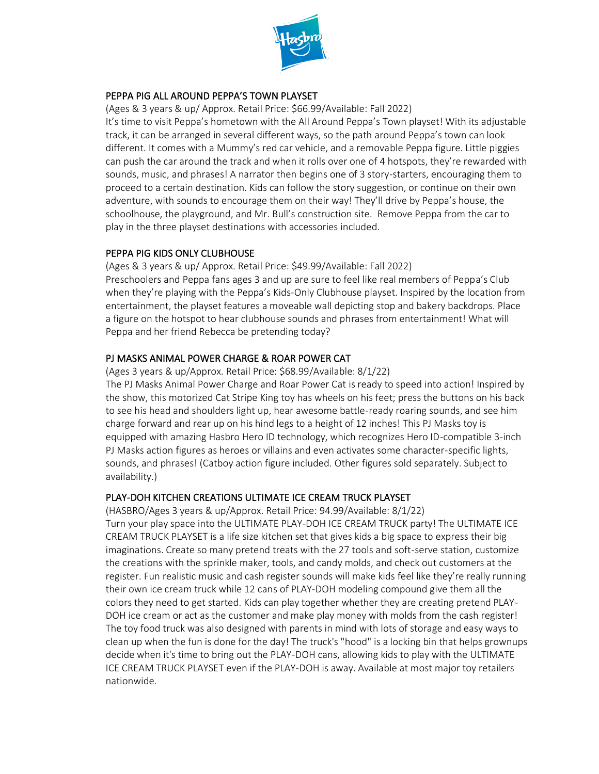

#### PEPPA PIG ALL AROUND PEPPA'S TOWN PLAYSET

(Ages & 3 years & up/ Approx. Retail Price: \$66.99/Available: Fall 2022)

It's time to visit Peppa's hometown with the All Around Peppa's Town playset! With its adjustable track, it can be arranged in several different ways, so the path around Peppa's town can look different. It comes with a Mummy's red car vehicle, and a removable Peppa figure. Little piggies can push the car around the track and when it rolls over one of 4 hotspots, they're rewarded with sounds, music, and phrases! A narrator then begins one of 3 story-starters, encouraging them to proceed to a certain destination. Kids can follow the story suggestion, or continue on their own adventure, with sounds to encourage them on their way! They'll drive by Peppa's house, the schoolhouse, the playground, and Mr. Bull's construction site. Remove Peppa from the car to play in the three playset destinations with accessories included.

# PEPPA PIG KIDS ONLY CLUBHOUSE

(Ages & 3 years & up/ Approx. Retail Price: \$49.99/Available: Fall 2022) Preschoolers and Peppa fans ages 3 and up are sure to feel like real members of Peppa's Club when they're playing with the Peppa's Kids-Only Clubhouse playset. Inspired by the location from entertainment, the playset features a moveable wall depicting stop and bakery backdrops. Place a figure on the hotspot to hear clubhouse sounds and phrases from entertainment! What will Peppa and her friend Rebecca be pretending today?

#### PJ MASKS ANIMAL POWER CHARGE & ROAR POWER CAT

(Ages 3 years & up/Approx. Retail Price: \$68.99/Available: 8/1/22)

The PJ Masks Animal Power Charge and Roar Power Cat is ready to speed into action! Inspired by the show, this motorized Cat Stripe King toy has wheels on his feet; press the buttons on his back to see his head and shoulders light up, hear awesome battle-ready roaring sounds, and see him charge forward and rear up on his hind legs to a height of 12 inches! This PJ Masks toy is equipped with amazing Hasbro Hero ID technology, which recognizes Hero ID-compatible 3-inch PJ Masks action figures as heroes or villains and even activates some character-specific lights, sounds, and phrases! (Catboy action figure included. Other figures sold separately. Subject to availability.)

# PLAY-DOH KITCHEN CREATIONS ULTIMATE ICE CREAM TRUCK PLAYSET

(HASBRO/Ages 3 years & up/Approx. Retail Price: 94.99/Available: 8/1/22) Turn your play space into the ULTIMATE PLAY-DOH ICE CREAM TRUCK party! The ULTIMATE ICE CREAM TRUCK PLAYSET is a life size kitchen set that gives kids a big space to express their big imaginations. Create so many pretend treats with the 27 tools and soft-serve station, customize the creations with the sprinkle maker, tools, and candy molds, and check out customers at the register. Fun realistic music and cash register sounds will make kids feel like they're really running their own ice cream truck while 12 cans of PLAY-DOH modeling compound give them all the colors they need to get started. Kids can play together whether they are creating pretend PLAY-DOH ice cream or act as the customer and make play money with molds from the cash register! The toy food truck was also designed with parents in mind with lots of storage and easy ways to clean up when the fun is done for the day! The truck's "hood" is a locking bin that helps grownups decide when it's time to bring out the PLAY-DOH cans, allowing kids to play with the ULTIMATE ICE CREAM TRUCK PLAYSET even if the PLAY-DOH is away. Available at most major toy retailers nationwide.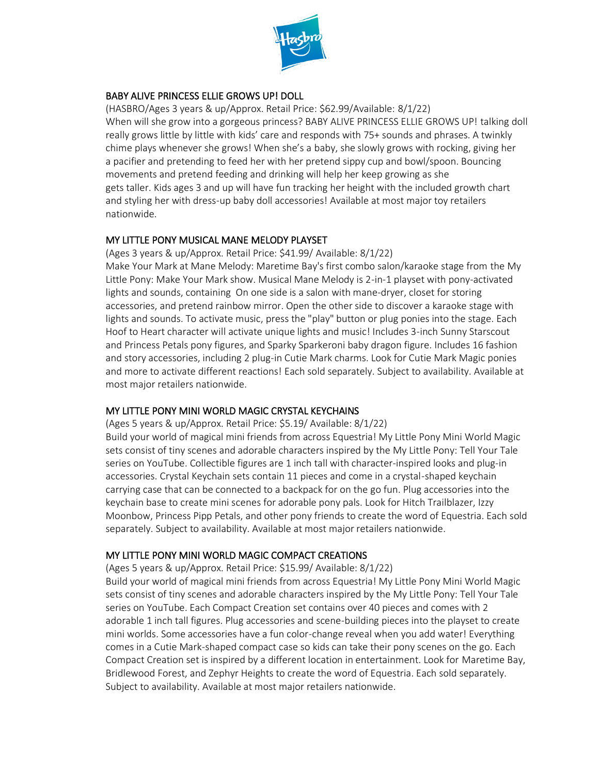

# BABY ALIVE PRINCESS ELLIE GROWS UP! DOLL

(HASBRO/Ages 3 years & up/Approx. Retail Price: \$62.99/Available: 8/1/22) When will she grow into a gorgeous princess? BABY ALIVE PRINCESS ELLIE GROWS UP! talking doll really grows little by little with kids' care and responds with 75+ sounds and phrases. A twinkly chime plays whenever she grows! When she's a baby, she slowly grows with rocking, giving her a pacifier and pretending to feed her with her pretend sippy cup and bowl/spoon. Bouncing movements and pretend feeding and drinking will help her keep growing as she gets taller. Kids ages 3 and up will have fun tracking her height with the included growth chart and styling her with dress-up baby doll accessories! Available at most major toy retailers nationwide.

# MY LITTLE PONY MUSICAL MANE MELODY PLAYSET

(Ages 3 years & up/Approx. Retail Price: \$41.99/ Available: 8/1/22) Make Your Mark at Mane Melody: Maretime Bay's first combo salon/karaoke stage from the My

Little Pony: Make Your Mark show. Musical Mane Melody is 2-in-1 playset with pony-activated lights and sounds, containing On one side is a salon with mane-dryer, closet for storing accessories, and pretend rainbow mirror. Open the other side to discover a karaoke stage with lights and sounds. To activate music, press the "play" button or plug ponies into the stage. Each Hoof to Heart character will activate unique lights and music! Includes 3-inch Sunny Starscout and Princess Petals pony figures, and Sparky Sparkeroni baby dragon figure. Includes 16 fashion and story accessories, including 2 plug-in Cutie Mark charms. Look for Cutie Mark Magic ponies and more to activate different reactions! Each sold separately. Subject to availability. Available at most major retailers nationwide.

# MY LITTLE PONY MINI WORLD MAGIC CRYSTAL KEYCHAINS

(Ages 5 years & up/Approx. Retail Price: \$5.19/ Available: 8/1/22)

Build your world of magical mini friends from across Equestria! My Little Pony Mini World Magic sets consist of tiny scenes and adorable characters inspired by the My Little Pony: Tell Your Tale series on YouTube. Collectible figures are 1 inch tall with character-inspired looks and plug-in accessories. Crystal Keychain sets contain 11 pieces and come in a crystal-shaped keychain carrying case that can be connected to a backpack for on the go fun. Plug accessories into the keychain base to create mini scenes for adorable pony pals. Look for Hitch Trailblazer, Izzy Moonbow, Princess Pipp Petals, and other pony friends to create the word of Equestria. Each sold separately. Subject to availability. Available at most major retailers nationwide.

# MY LITTLE PONY MINI WORLD MAGIC COMPACT CREATIONS

(Ages 5 years & up/Approx. Retail Price: \$15.99/ Available: 8/1/22)

Build your world of magical mini friends from across Equestria! My Little Pony Mini World Magic sets consist of tiny scenes and adorable characters inspired by the My Little Pony: Tell Your Tale series on YouTube. Each Compact Creation set contains over 40 pieces and comes with 2 adorable 1 inch tall figures. Plug accessories and scene-building pieces into the playset to create mini worlds. Some accessories have a fun color-change reveal when you add water! Everything comes in a Cutie Mark-shaped compact case so kids can take their pony scenes on the go. Each Compact Creation set is inspired by a different location in entertainment. Look for Maretime Bay, Bridlewood Forest, and Zephyr Heights to create the word of Equestria. Each sold separately. Subject to availability. Available at most major retailers nationwide.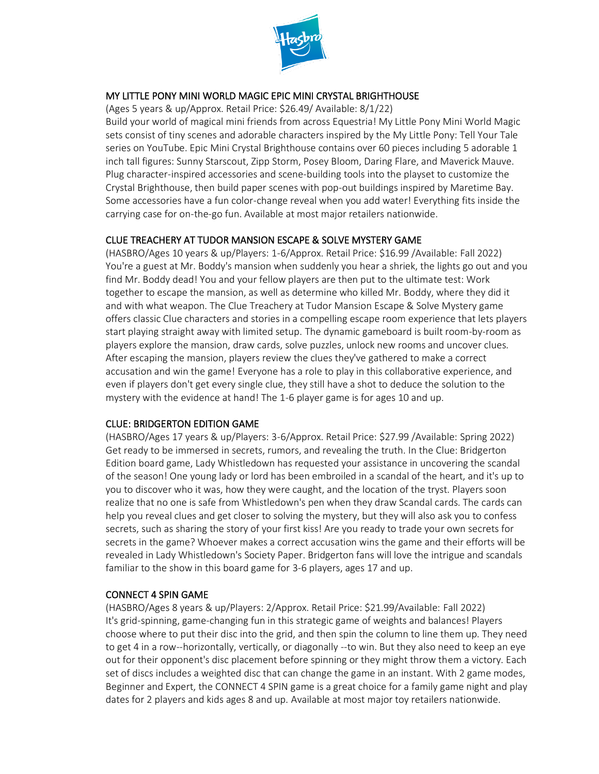

## MY LITTLE PONY MINI WORLD MAGIC EPIC MINI CRYSTAL BRIGHTHOUSE

(Ages 5 years & up/Approx. Retail Price: \$26.49/ Available: 8/1/22)

Build your world of magical mini friends from across Equestria! My Little Pony Mini World Magic sets consist of tiny scenes and adorable characters inspired by the My Little Pony: Tell Your Tale series on YouTube. Epic Mini Crystal Brighthouse contains over 60 pieces including 5 adorable 1 inch tall figures: Sunny Starscout, Zipp Storm, Posey Bloom, Daring Flare, and Maverick Mauve. Plug character-inspired accessories and scene-building tools into the playset to customize the Crystal Brighthouse, then build paper scenes with pop-out buildings inspired by Maretime Bay. Some accessories have a fun color-change reveal when you add water! Everything fits inside the carrying case for on-the-go fun. Available at most major retailers nationwide.

# CLUE TREACHERY AT TUDOR MANSION ESCAPE & SOLVE MYSTERY GAME

(HASBRO/Ages 10 years & up/Players: 1-6/Approx. Retail Price: \$16.99 /Available: Fall 2022) You're a guest at Mr. Boddy's mansion when suddenly you hear a shriek, the lights go out and you find Mr. Boddy dead! You and your fellow players are then put to the ultimate test: Work together to escape the mansion, as well as determine who killed Mr. Boddy, where they did it and with what weapon. The Clue Treachery at Tudor Mansion Escape & Solve Mystery game offers classic Clue characters and stories in a compelling escape room experience that lets players start playing straight away with limited setup. The dynamic gameboard is built room-by-room as players explore the mansion, draw cards, solve puzzles, unlock new rooms and uncover clues. After escaping the mansion, players review the clues they've gathered to make a correct accusation and win the game! Everyone has a role to play in this collaborative experience, and even if players don't get every single clue, they still have a shot to deduce the solution to the mystery with the evidence at hand! The 1-6 player game is for ages 10 and up.

# CLUE: BRIDGERTON EDITION GAME

(HASBRO/Ages 17 years & up/Players: 3-6/Approx. Retail Price: \$27.99 /Available: Spring 2022) Get ready to be immersed in secrets, rumors, and revealing the truth. In the Clue: Bridgerton Edition board game, Lady Whistledown has requested your assistance in uncovering the scandal of the season! One young lady or lord has been embroiled in a scandal of the heart, and it's up to you to discover who it was, how they were caught, and the location of the tryst. Players soon realize that no one is safe from Whistledown's pen when they draw Scandal cards. The cards can help you reveal clues and get closer to solving the mystery, but they will also ask you to confess secrets, such as sharing the story of your first kiss! Are you ready to trade your own secrets for secrets in the game? Whoever makes a correct accusation wins the game and their efforts will be revealed in Lady Whistledown's Society Paper. Bridgerton fans will love the intrigue and scandals familiar to the show in this board game for 3-6 players, ages 17 and up.

# CONNECT 4 SPIN GAME

(HASBRO/Ages 8 years & up/Players: 2/Approx. Retail Price: \$21.99/Available: Fall 2022) It's grid-spinning, game-changing fun in this strategic game of weights and balances! Players choose where to put their disc into the grid, and then spin the column to line them up. They need to get 4 in a row--horizontally, vertically, or diagonally --to win. But they also need to keep an eye out for their opponent's disc placement before spinning or they might throw them a victory. Each set of discs includes a weighted disc that can change the game in an instant. With 2 game modes, Beginner and Expert, the CONNECT 4 SPIN game is a great choice for a family game night and play dates for 2 players and kids ages 8 and up. Available at most major toy retailers nationwide.